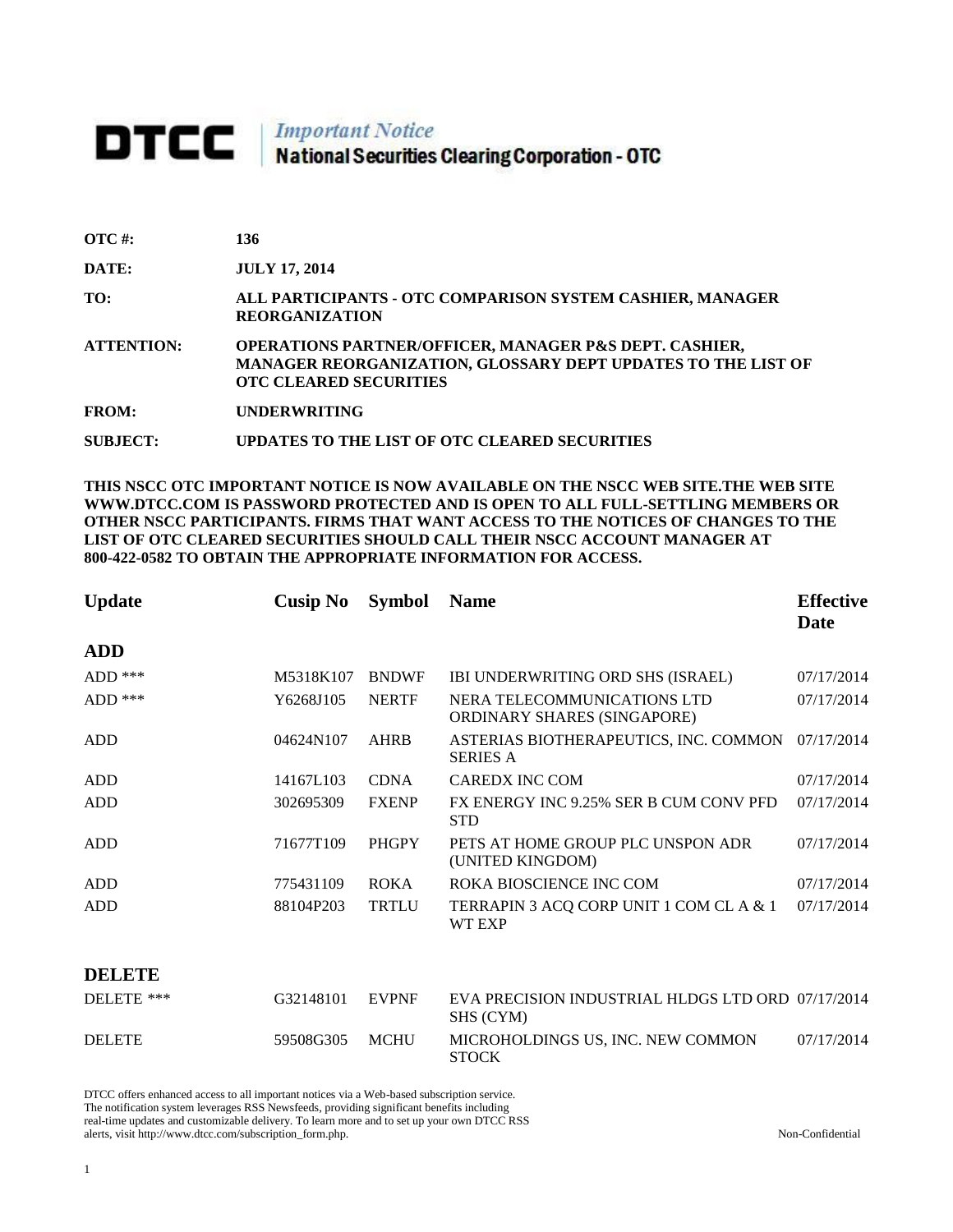## **DTCC** National Securities Clearing Corporation - OTC

| $\overline{OTC}$ #: | 136                                                                                                                                                     |
|---------------------|---------------------------------------------------------------------------------------------------------------------------------------------------------|
| DATE:               | <b>JULY 17, 2014</b>                                                                                                                                    |
| TO:                 | ALL PARTICIPANTS - OTC COMPARISON SYSTEM CASHIER, MANAGER<br><b>REORGANIZATION</b>                                                                      |
| <b>ATTENTION:</b>   | OPERATIONS PARTNER/OFFICER, MANAGER P&S DEPT. CASHIER,<br>MANAGER REORGANIZATION, GLOSSARY DEPT UPDATES TO THE LIST OF<br><b>OTC CLEARED SECURITIES</b> |
| <b>FROM:</b>        | <b>UNDERWRITING</b>                                                                                                                                     |
| SUBJECT:            | UPDATES TO THE LIST OF OTC CLEARED SECURITIES                                                                                                           |

**THIS NSCC OTC IMPORTANT NOTICE IS NOW AVAILABLE ON THE NSCC WEB SITE.THE WEB SITE WWW.DTCC.COM IS PASSWORD PROTECTED AND IS OPEN TO ALL FULL-SETTLING MEMBERS OR OTHER NSCC PARTICIPANTS. FIRMS THAT WANT ACCESS TO THE NOTICES OF CHANGES TO THE LIST OF OTC CLEARED SECURITIES SHOULD CALL THEIR NSCC ACCOUNT MANAGER AT 800-422-0582 TO OBTAIN THE APPROPRIATE INFORMATION FOR ACCESS.** 

| <b>Update</b> | <b>Cusip No</b> | <b>Symbol</b> | <b>Name</b>                                                    | <b>Effective</b><br><b>Date</b> |
|---------------|-----------------|---------------|----------------------------------------------------------------|---------------------------------|
| <b>ADD</b>    |                 |               |                                                                |                                 |
| $ADD$ ***     | M5318K107       | <b>BNDWF</b>  | IBI UNDERWRITING ORD SHS (ISRAEL)                              | 07/17/2014                      |
| $ADD$ ***     | Y6268J105       | <b>NERTF</b>  | NERA TELECOMMUNICATIONS LTD<br>ORDINARY SHARES (SINGAPORE)     | 07/17/2014                      |
| <b>ADD</b>    | 04624N107       | <b>AHRB</b>   | ASTERIAS BIOTHERAPEUTICS, INC. COMMON<br><b>SERIES A</b>       | 07/17/2014                      |
| <b>ADD</b>    | 14167L103       | <b>CDNA</b>   | <b>CAREDX INC COM</b>                                          | 07/17/2014                      |
| <b>ADD</b>    | 302695309       | <b>FXENP</b>  | FX ENERGY INC 9.25% SER B CUM CONV PFD<br><b>STD</b>           | 07/17/2014                      |
| <b>ADD</b>    | 71677T109       | <b>PHGPY</b>  | PETS AT HOME GROUP PLC UNSPON ADR<br>(UNITED KINGDOM)          | 07/17/2014                      |
| <b>ADD</b>    | 775431109       | <b>ROKA</b>   | ROKA BIOSCIENCE INC COM                                        | 07/17/2014                      |
| <b>ADD</b>    | 88104P203       | <b>TRTLU</b>  | TERRAPIN 3 ACQ CORP UNIT 1 COM CL A & 1<br>WT EXP              | 07/17/2014                      |
| <b>DELETE</b> |                 |               |                                                                |                                 |
| DELETE ***    | G32148101       | <b>EVPNF</b>  | EVA PRECISION INDUSTRIAL HLDGS LTD ORD 07/17/2014<br>SHS (CYM) |                                 |
| <b>DELETE</b> | 59508G305       | <b>MCHU</b>   | MICROHOLDINGS US, INC. NEW COMMON<br><b>STOCK</b>              | 07/17/2014                      |

DTCC offers enhanced access to all important notices via a Web-based subscription service. The notification system leverages RSS Newsfeeds, providing significant benefits including real-time updates and customizable delivery. To learn more and to set up your own DTCC RSS

alerts, visit http://www.dtcc.com/subscription\_form.php. Non-Confidential